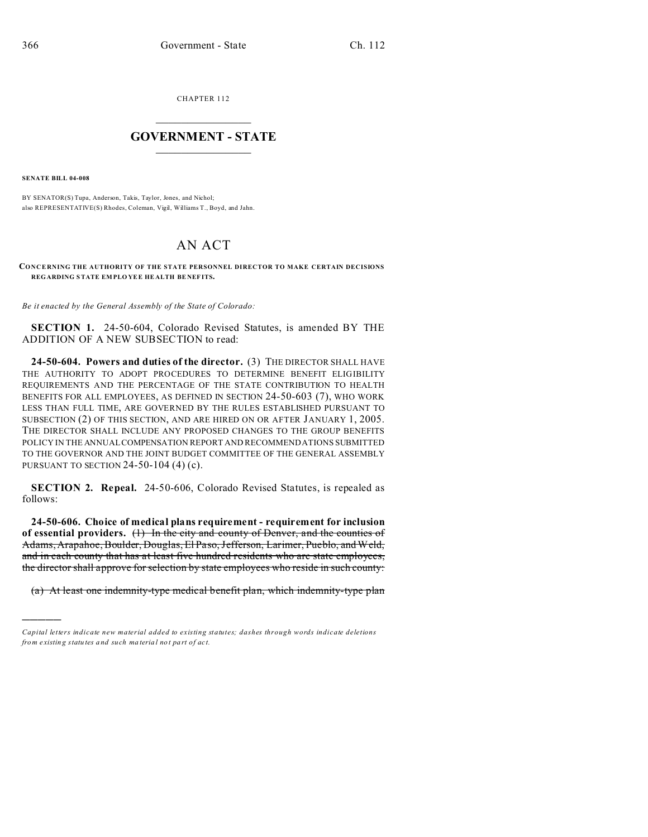CHAPTER 112  $\overline{\phantom{a}}$  , where  $\overline{\phantom{a}}$ 

## **GOVERNMENT - STATE**  $\_$   $\_$

**SENATE BILL 04-008**

)))))

BY SENATOR(S) Tupa, Anderson, Takis, Taylor, Jones, and Nichol; also REPRESENTATIVE(S) Rhodes, Coleman, Vigil, Williams T., Boyd, and Jahn.

## AN ACT

## **CONCE RNING THE AUTHORITY OF THE STATE PERSONNEL DIRECTOR TO MAKE CERTAIN DECISIONS REGARDING STATE EM PLO YEE HE ALTH BE NEF ITS.**

*Be it enacted by the General Assembly of the State of Colorado:*

**SECTION 1.** 24-50-604, Colorado Revised Statutes, is amended BY THE ADDITION OF A NEW SUBSECTION to read:

**24-50-604. Powers and duties of the director.** (3) THE DIRECTOR SHALL HAVE THE AUTHORITY TO ADOPT PROCEDURES TO DETERMINE BENEFIT ELIGIBILITY REQUIREMENTS AND THE PERCENTAGE OF THE STATE CONTRIBUTION TO HEALTH BENEFITS FOR ALL EMPLOYEES, AS DEFINED IN SECTION 24-50-603 (7), WHO WORK LESS THAN FULL TIME, ARE GOVERNED BY THE RULES ESTABLISHED PURSUANT TO SUBSECTION (2) OF THIS SECTION, AND ARE HIRED ON OR AFTER JANUARY 1, 2005. THE DIRECTOR SHALL INCLUDE ANY PROPOSED CHANGES TO THE GROUP BENEFITS POLICY IN THE ANNUAL COMPENSATION REPORT AND RECOMMENDATIONS SUBMITTED TO THE GOVERNOR AND THE JOINT BUDGET COMMITTEE OF THE GENERAL ASSEMBLY PURSUANT TO SECTION 24-50-104 (4) (c).

**SECTION 2. Repeal.** 24-50-606, Colorado Revised Statutes, is repealed as follows:

**24-50-606. Choice of medical plans requirement - requirement for inclusion of essential providers.** (1) In the city and county of Denver, and the counties of Adams, Arapahoe, Boulder, Douglas, El Paso, Jefferson, Larimer, Pueblo, and Weld, and in each county that has at least five hundred residents who are state employees, the director shall approve for selection by state employees who reside in such county:

(a) At least one indemnity-type medical benefit plan, which indemnity-type plan

*Capital letters indicate new material added to existing statutes; dashes through words indicate deletions from e xistin g statu tes a nd such ma teria l no t pa rt of ac t.*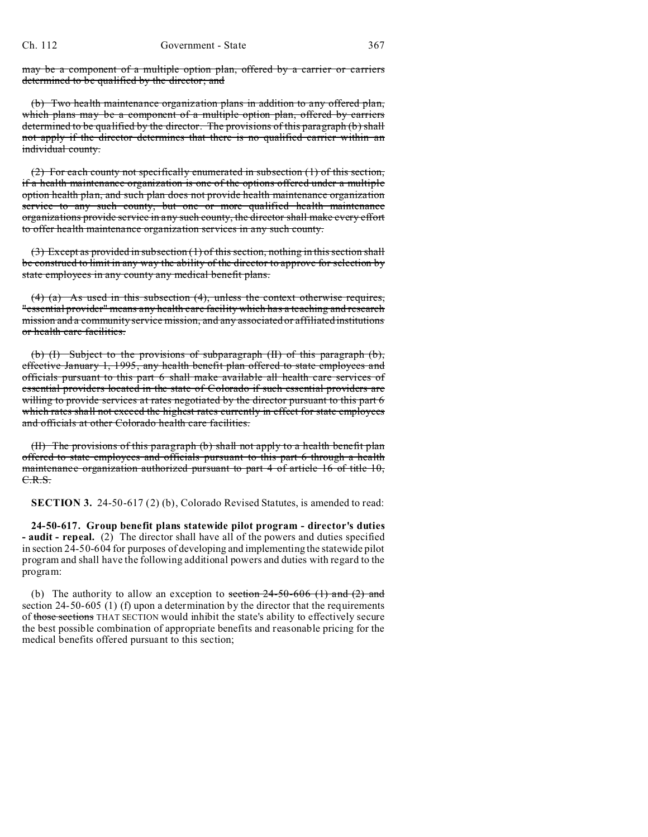may be a component of a multiple option plan, offered by a carrier or carriers determined to be qualified by the director; and

(b) Two health maintenance organization plans in addition to any offered plan, which plans may be a component of a multiple option plan, offered by carriers determined to be qualified by the director. The provisions of this paragraph (b) shall not apply if the director determines that there is no qualified carrier within an individual county.

(2) For each county not specifically enumerated in subsection (1) of this section, if a health maintenance organization is one of the options offered under a multiple option health plan, and such plan does not provide health maintenance organization service to any such county, but one or more qualified health maintenance organizations provide service in any such county, the director shall make every effort to offer health maintenance organization services in any such county.

(3) Except as provided in subsection (1) of this section, nothing in this section shall be construed to limit in any way the ability of the director to approve for selection by state employees in any county any medical benefit plans.

(4) (a) As used in this subsection (4), unless the context otherwise requires, "essential provider" means any health care facility which has a teaching and research mission and a community service mission, and any associated or affiliated institutions or health care facilities.

(b) (I) Subject to the provisions of subparagraph (II) of this paragraph (b), effective January 1, 1995, any health benefit plan offered to state employees and officials pursuant to this part 6 shall make available all health care services of essential providers located in the state of Colorado if such essential providers are willing to provide services at rates negotiated by the director pursuant to this part 6 which rates shall not exceed the highest rates currently in effect for state employees and officials at other Colorado health care facilities.

(II) The provisions of this paragraph (b) shall not apply to a health benefit plan offered to state employees and officials pursuant to this part 6 through a health maintenance organization authorized pursuant to part 4 of article 16 of title 10, C.R.S.

**SECTION 3.** 24-50-617 (2) (b), Colorado Revised Statutes, is amended to read:

**24-50-617. Group benefit plans statewide pilot program - director's duties - audit - repeal.** (2) The director shall have all of the powers and duties specified in section 24-50-604 for purposes of developing and implementing the statewide pilot program and shall have the following additional powers and duties with regard to the program:

(b) The authority to allow an exception to section  $24-50-606$  (1) and (2) and section 24-50-605 (1) (f) upon a determination by the director that the requirements of those sections THAT SECTION would inhibit the state's ability to effectively secure the best possible combination of appropriate benefits and reasonable pricing for the medical benefits offered pursuant to this section;